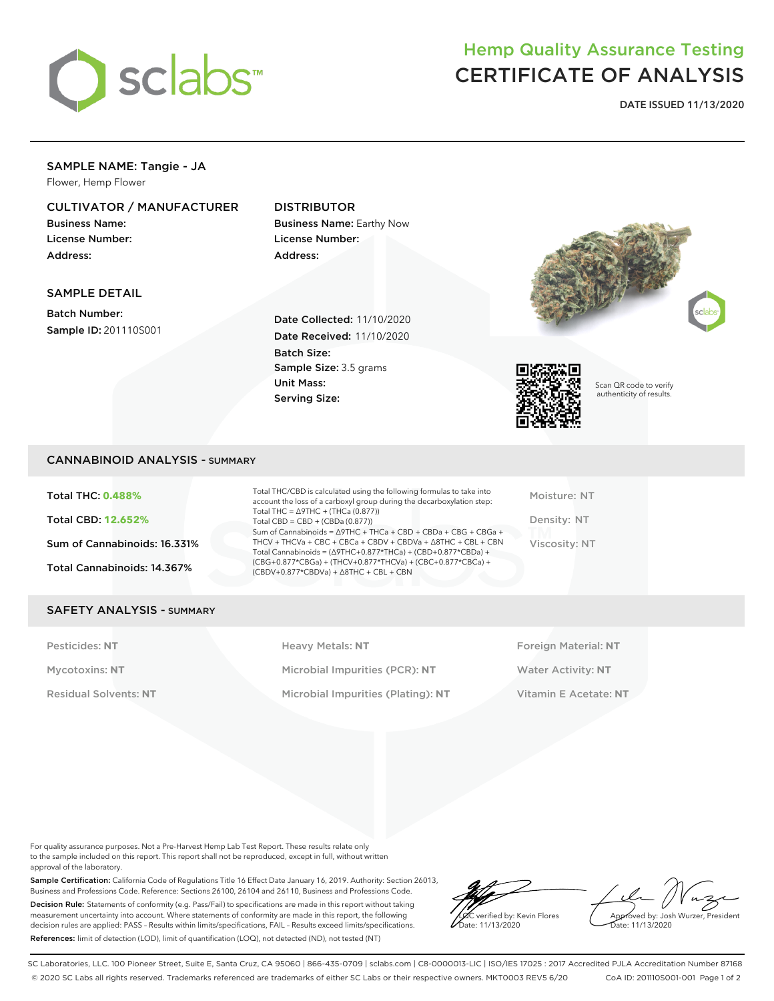

# Hemp Quality Assurance Testing CERTIFICATE OF ANALYSIS

**DATE ISSUED 11/13/2020**

#### SAMPLE NAME: Tangie - JA Flower, Hemp Flower

## CULTIVATOR / MANUFACTURER

Business Name: License Number: Address:

## DISTRIBUTOR

Business Name: Earthy Now License Number: Address:

#### SAMPLE DETAIL

Batch Number: Sample ID: 201110S001

Date Collected: 11/10/2020 Date Received: 11/10/2020 Batch Size: Sample Size: 3.5 grams Unit Mass: Serving Size:





Scan QR code to verify authenticity of results.

### CANNABINOID ANALYSIS - SUMMARY

Total THC: **0.488%** Total CBD: **12.652%** Sum of Cannabinoids: 16.331% Total Cannabinoids: 14.367%

Total THC/CBD is calculated using the following formulas to take into account the loss of a carboxyl group during the decarboxylation step: Total THC = ∆9THC + (THCa (0.877)) Total  $CBD = CBD + (CBDa (0.877))$ Sum of Cannabinoids = ∆9THC + THCa + CBD + CBDa + CBG + CBGa + THCV + THCVa + CBC + CBCa + CBDV + CBDVa + ∆8THC + CBL + CBN Total Cannabinoids = (∆9THC+0.877\*THCa) + (CBD+0.877\*CBDa) + (CBG+0.877\*CBGa) + (THCV+0.877\*THCVa) + (CBC+0.877\*CBCa) + (CBDV+0.877\*CBDVa) + ∆8THC + CBL + CBN

Moisture: NT Density: NT Viscosity: NT

#### SAFETY ANALYSIS - SUMMARY

Pesticides: NT **All Accords** Heavy Metals: NT **Foreign Material: NT** Pesticides: NT Mycotoxins: **NT** Microbial Impurities (PCR): **NT** Water Activity: **NT** Residual Solvents: **NT** Microbial Impurities (Plating): **NT** Vitamin E Acetate: **NT**

For quality assurance purposes. Not a Pre-Harvest Hemp Lab Test Report. These results relate only to the sample included on this report. This report shall not be reproduced, except in full, without written approval of the laboratory.

Sample Certification: California Code of Regulations Title 16 Effect Date January 16, 2019. Authority: Section 26013, Business and Professions Code. Reference: Sections 26100, 26104 and 26110, Business and Professions Code. Decision Rule: Statements of conformity (e.g. Pass/Fail) to specifications are made in this report without taking measurement uncertainty into account. Where statements of conformity are made in this report, the following decision rules are applied: PASS – Results within limits/specifications, FAIL – Results exceed limits/specifications. References: limit of detection (LOD), limit of quantification (LOQ), not detected (ND), not tested (NT)

LQC verified by: Kevin Flores Date: 11/13/2020

Approved by: Josh Wurzer, President ate: 11/13/2020

SC Laboratories, LLC. 100 Pioneer Street, Suite E, Santa Cruz, CA 95060 | 866-435-0709 | sclabs.com | C8-0000013-LIC | ISO/IES 17025 : 2017 Accredited PJLA Accreditation Number 87168 © 2020 SC Labs all rights reserved. Trademarks referenced are trademarks of either SC Labs or their respective owners. MKT0003 REV5 6/20 CoA ID: 201110S001-001 Page 1 of 2